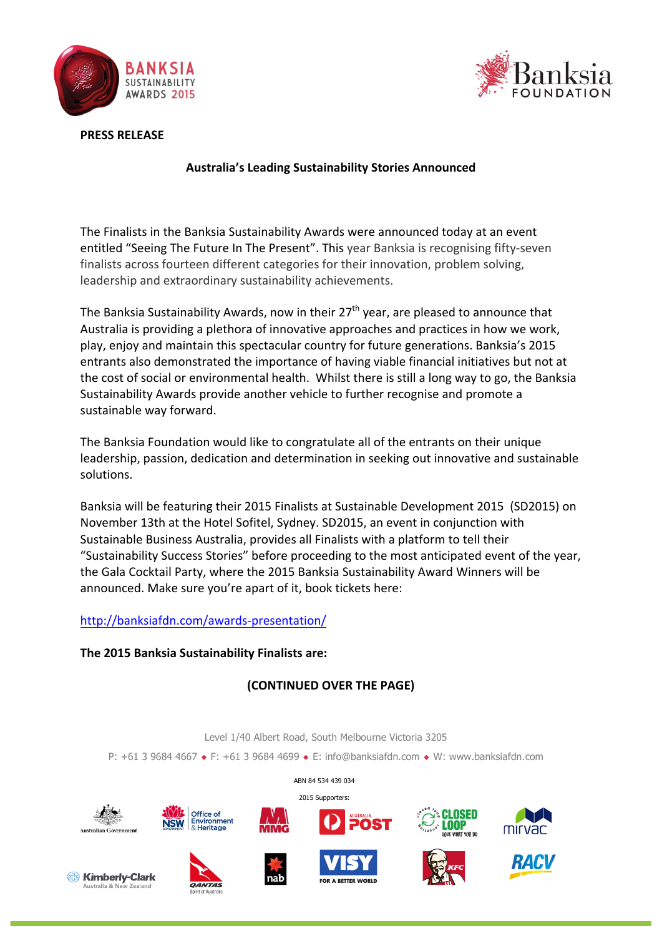



**PRESS RELEASE** 

## **Australia's%Leading%Sustainability%Stories%Announced**

The Finalists in the Banksia Sustainability Awards were announced today at an event entitled "Seeing The Future In The Present". This year Banksia is recognising fifty-seven finalists across fourteen different categories for their innovation, problem solving, leadership and extraordinary sustainability achievements.

The Banksia Sustainability Awards, now in their  $27<sup>th</sup>$  year, are pleased to announce that Australia is providing a plethora of innovative approaches and practices in how we work, play, enjoy and maintain this spectacular country for future generations. Banksia's 2015 entrants also demonstrated the importance of having viable financial initiatives but not at the cost of social or environmental health. Whilst there is still a long way to go, the Banksia Sustainability Awards provide another vehicle to further recognise and promote a sustainable way forward.

The Banksia Foundation would like to congratulate all of the entrants on their unique leadership, passion, dedication and determination in seeking out innovative and sustainable solutions.

Banksia will be featuring their 2015 Finalists at Sustainable Development 2015 (SD2015) on November 13th at the Hotel Sofitel, Sydney. SD2015, an event in conjunction with Sustainable Business Australia, provides all Finalists with a platform to tell their "Sustainability Success Stories" before proceeding to the most anticipated event of the year, the Gala Cocktail Party, where the 2015 Banksia Sustainability Award Winners will be announced. Make sure you're apart of it, book tickets here:

## http://banksiafdn.com/awards-presentation/

## **The 2015 Banksia Sustainability Finalists are:**

# **(CONTINUED OVER THE PAGE)**

Level 1/40 Albert Road, South Melbourne Victoria 3205

P: +61 3 9684 4667 ◆ F: +61 3 9684 4699 ◆ E: info@banksiafdn.com ◆ W: www.banksiafdn.com

ABN 84 534 439 034 2015 Supporters:

**Australian Governmer** 





















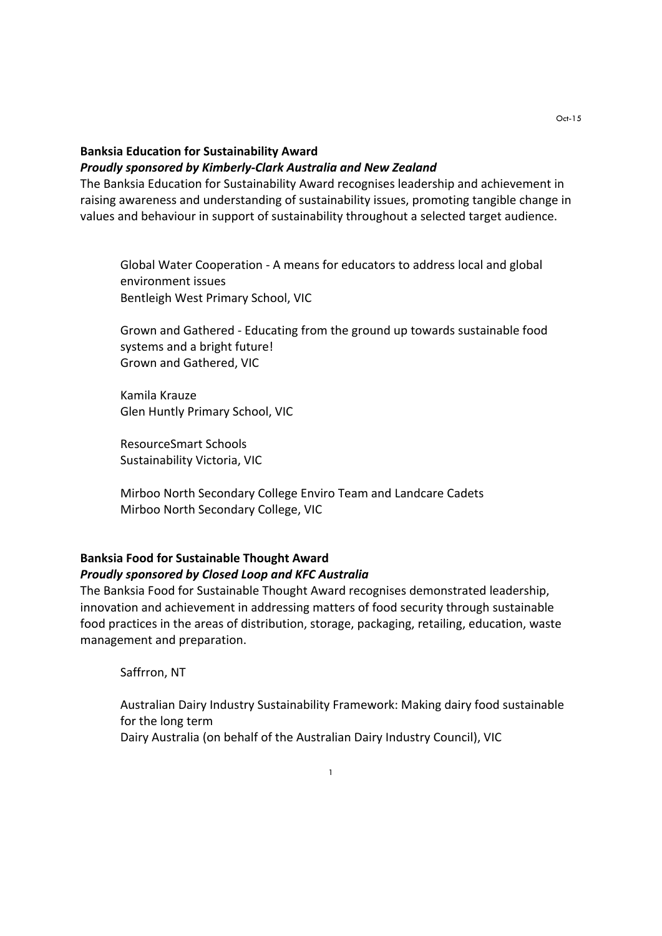## **Banksia Education for Sustainability Award Proudly sponsored by Kimberly-Clark Australia and New Zealand**

# The Banksia Education for Sustainability Award recognises leadership and achievement in raising awareness and understanding of sustainability issues, promoting tangible change in values and behaviour in support of sustainability throughout a selected target audience.

Global Water Cooperation - A means for educators to address local and global environment issues Bentleigh West Primary School, VIC

Grown and Gathered - Educating from the ground up towards sustainable food systems and a bright future! Grown and Gathered, VIC

Kamila Krauze Glen Huntly Primary School, VIC

ResourceSmart Schools Sustainability Victoria, VIC

Mirboo North Secondary College Enviro Team and Landcare Cadets Mirboo North Secondary College, VIC

# **Banksia Food for Sustainable Thought Award Proudly sponsored by Closed Loop and KFC Australia**

The Banksia Food for Sustainable Thought Award recognises demonstrated leadership, innovation and achievement in addressing matters of food security through sustainable food practices in the areas of distribution, storage, packaging, retailing, education, waste management and preparation.

Saffrron, NT

Australian Dairy Industry Sustainability Framework: Making dairy food sustainable for the long term Dairy Australia (on behalf of the Australian Dairy Industry Council), VIC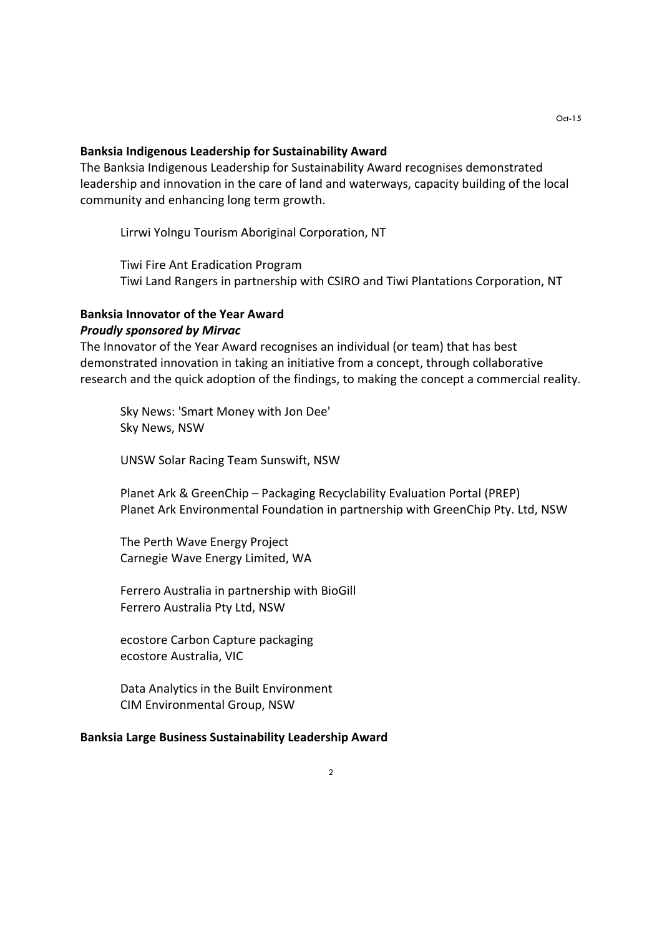#### **Banksia Indigenous Leadership for Sustainability Award**

The Banksia Indigenous Leadership for Sustainability Award recognises demonstrated leadership and innovation in the care of land and waterways, capacity building of the local community and enhancing long term growth.

Lirrwi Yolngu Tourism Aboriginal Corporation, NT

Tiwi Fire Ant Eradication Program

Tiwi Land Rangers in partnership with CSIRO and Tiwi Plantations Corporation, NT

## **Banksia Innovator of the Year Award Proudly sponsored by Mirvac**

The Innovator of the Year Award recognises an individual (or team) that has best demonstrated innovation in taking an initiative from a concept, through collaborative research and the quick adoption of the findings, to making the concept a commercial reality.

Sky News: 'Smart Money with Jon Dee' Sky News, NSW

UNSW Solar Racing Team Sunswift, NSW

Planet Ark & GreenChip – Packaging Recyclability Evaluation Portal (PREP) Planet Ark Environmental Foundation in partnership with GreenChip Pty. Ltd, NSW

The Perth Wave Energy Project Carnegie Wave Energy Limited, WA

Ferrero Australia in partnership with BioGill Ferrero Australia Pty Ltd, NSW

ecostore Carbon Capture packaging ecostore Australia, VIC

Data Analytics in the Built Environment CIM Environmental Group, NSW

#### **Banksia%Large%Business%Sustainability%Leadership%Award**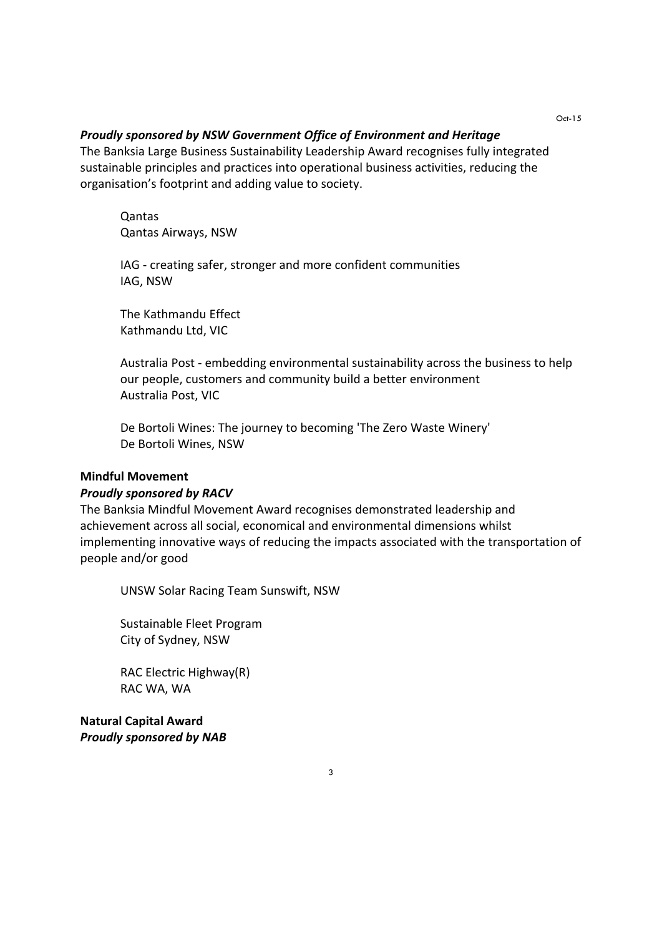### **Proudly sponsored by NSW Government Office of Environment and Heritage**

The Banksia Large Business Sustainability Leadership Award recognises fully integrated sustainable principles and practices into operational business activities, reducing the organisation's footprint and adding value to society.

Qantas Qantas Airways, NSW

IAG - creating safer, stronger and more confident communities IAG, NSW

The Kathmandu Effect Kathmandu Ltd, VIC

Australia Post - embedding environmental sustainability across the business to help our people, customers and community build a better environment Australia Post, VIC

De Bortoli Wines: The journey to becoming 'The Zero Waste Winery' De Bortoli Wines, NSW

#### **Mindful Movement**

#### **Proudly sponsored by RACV**

The Banksia Mindful Movement Award recognises demonstrated leadership and achievement across all social, economical and environmental dimensions whilst implementing innovative ways of reducing the impacts associated with the transportation of people!and/or!good

UNSW Solar Racing Team Sunswift, NSW

Sustainable Fleet Program City of Sydney, NSW

RAC Electric Highway $(R)$ RAC WA, WA

**Natural Capital Award Proudly sponsored by NAB**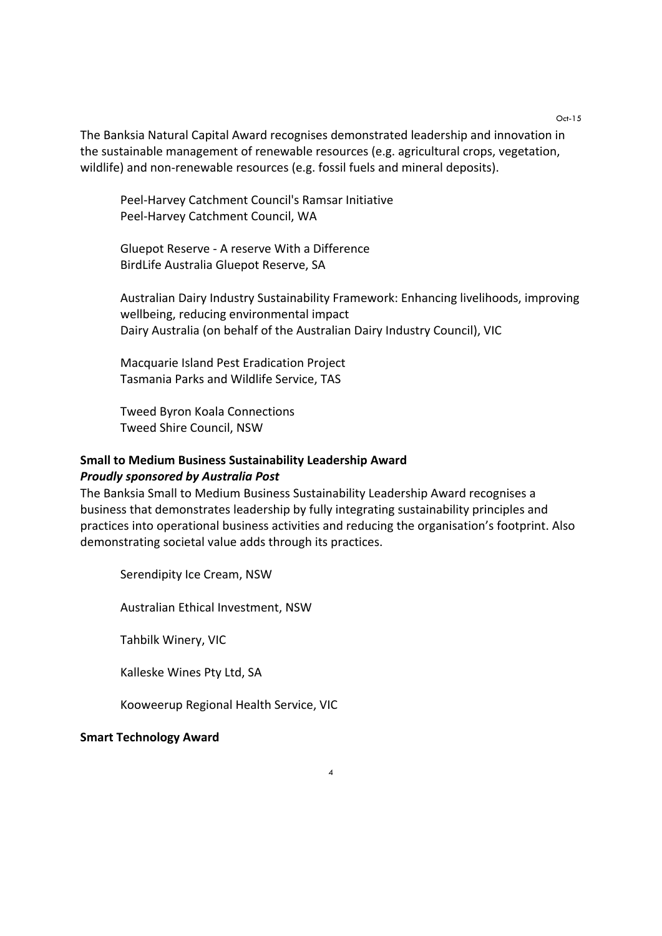The Banksia Natural Capital Award recognises demonstrated leadership and innovation in the sustainable management of renewable resources (e.g. agricultural crops, vegetation, wildlife) and non-renewable resources (e.g. fossil fuels and mineral deposits).

Peel-Harvey Catchment Council's Ramsar Initiative Peel-Harvey Catchment Council, WA

Gluepot Reserve - A reserve With a Difference BirdLife Australia Gluepot Reserve, SA

Australian Dairy Industry Sustainability Framework: Enhancing livelihoods, improving wellbeing, reducing environmental impact Dairy Australia (on behalf of the Australian Dairy Industry Council), VIC

Macquarie Island Pest Eradication Project Tasmania Parks and Wildlife Service, TAS

**Tweed Byron Koala Connections** Tweed Shire Council, NSW

## **Small to Medium Business Sustainability Leadership Award Proudly sponsored by Australia Post**

The Banksia Small to Medium Business Sustainability Leadership Award recognises a business that demonstrates leadership by fully integrating sustainability principles and practices into operational business activities and reducing the organisation's footprint. Also demonstrating societal value adds through its practices.

Serendipity Ice Cream, NSW

Australian Ethical Investment, NSW

Tahbilk Winery, VIC

Kalleske Wines Pty Ltd, SA

Kooweerup Regional Health Service, VIC

**Smart Technology Award**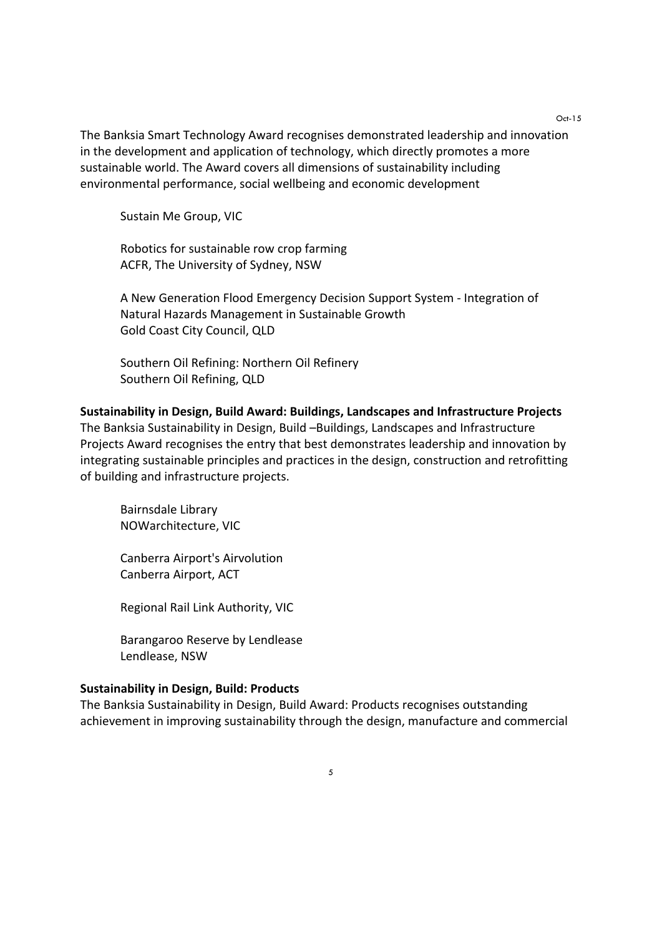The Banksia Smart Technology Award recognises demonstrated leadership and innovation in the development and application of technology, which directly promotes a more sustainable world. The Award covers all dimensions of sustainability including environmental performance, social wellbeing and economic development

Sustain Me Group, VIC

Robotics for sustainable row crop farming ACFR, The University of Sydney, NSW

A New Generation Flood Emergency Decision Support System - Integration of Natural Hazards Management in Sustainable Growth Gold Coast City Council, QLD

Southern Oil Refining: Northern Oil Refinery Southern Oil Refining, QLD

#### Sustainability in Design, Build Award: Buildings, Landscapes and Infrastructure Projects

The Banksia Sustainability in Design, Build –Buildings, Landscapes and Infrastructure Projects Award recognises the entry that best demonstrates leadership and innovation by integrating sustainable principles and practices in the design, construction and retrofitting of building and infrastructure projects.

Bairnsdale Library NOWarchitecture, VIC

Canberra Airport's Airvolution Canberra Airport, ACT

Regional Rail Link Authority, VIC

Barangaroo Reserve by Lendlease Lendlease, NSW

#### **Sustainability in Design, Build: Products**

The Banksia Sustainability in Design, Build Award: Products recognises outstanding achievement in improving sustainability through the design, manufacture and commercial

 $Oct-15$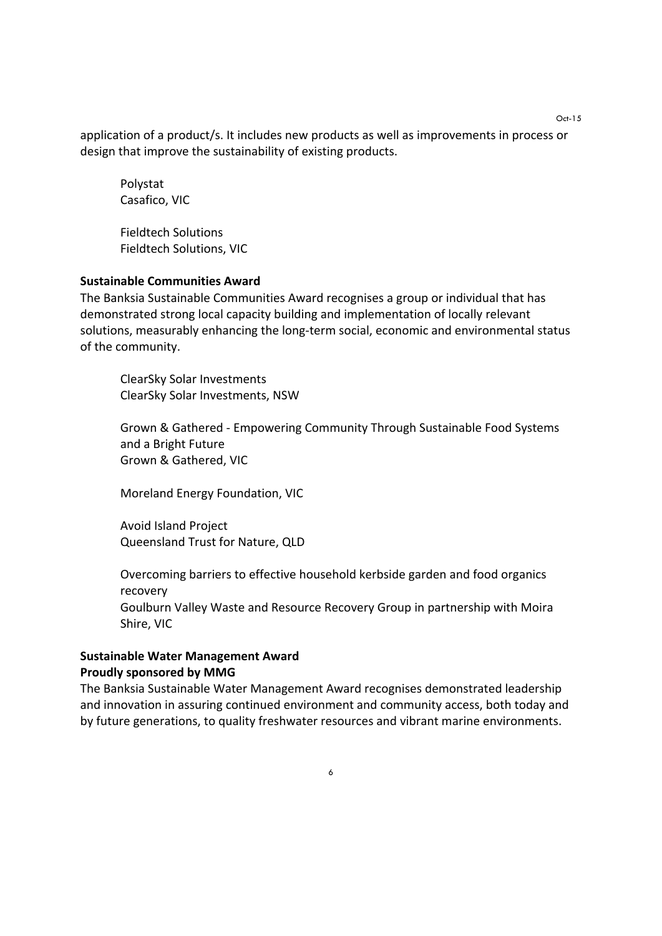application of a product/s. It includes new products as well as improvements in process or design that improve the sustainability of existing products.

Polystat Casafico, VIC

Fieldtech Solutions Fieldtech Solutions, VIC

### **Sustainable Communities Award**

The Banksia Sustainable Communities Award recognises a group or individual that has demonstrated strong local capacity building and implementation of locally relevant solutions, measurably enhancing the long-term social, economic and environmental status of the community.

ClearSky Solar Investments ClearSky Solar Investments, NSW

Grown & Gathered - Empowering Community Through Sustainable Food Systems and a Bright Future Grown & Gathered, VIC

Moreland Energy Foundation, VIC

Avoid Island Project Queensland Trust for Nature, QLD

Overcoming barriers to effective household kerbside garden and food organics recovery

Goulburn Valley Waste and Resource Recovery Group in partnership with Moira Shire, VIC

## **Sustainable Water Management Award Proudly sponsored by MMG**

The Banksia Sustainable Water Management Award recognises demonstrated leadership and innovation in assuring continued environment and community access, both today and by future generations, to quality freshwater resources and vibrant marine environments.

 $Oct-15$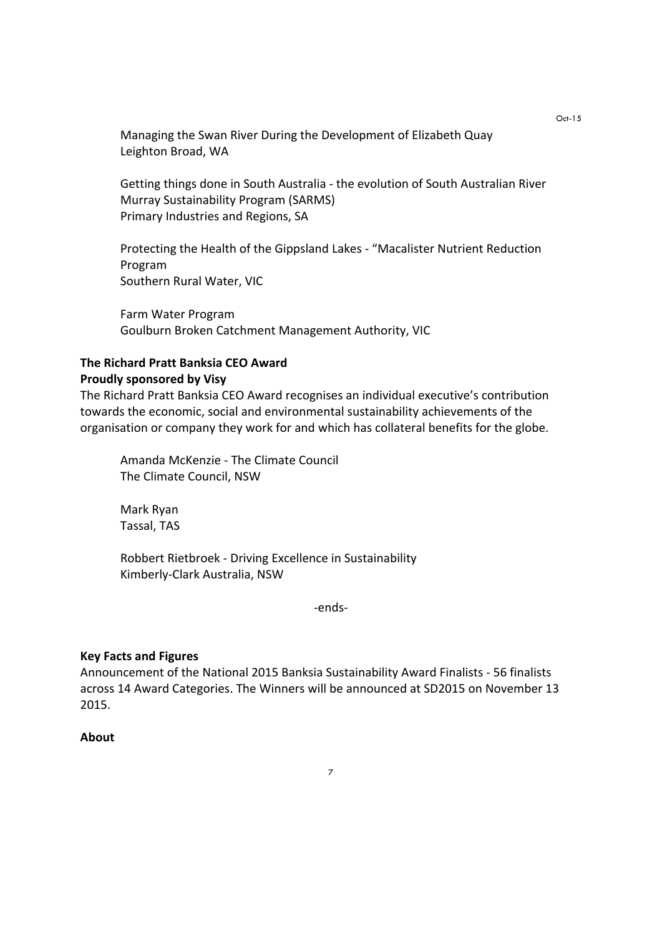Managing the Swan River During the Development of Elizabeth Quay Leighton Broad, WA

Getting things done in South Australia - the evolution of South Australian River Murray Sustainability Program (SARMS) Primary Industries and Regions, SA

Protecting the Health of the Gippsland Lakes - "Macalister Nutrient Reduction Program Southern Rural Water, VIC

Farm Water Program Goulburn Broken Catchment Management Authority, VIC

## **The Richard Pratt Banksia CEO Award Proudly sponsored by Visy**

The Richard Pratt Banksia CEO Award recognises an individual executive's contribution towards the economic, social and environmental sustainability achievements of the organisation or company they work for and which has collateral benefits for the globe.

Amanda McKenzie - The Climate Council The Climate Council, NSW

Mark!Ryan Tassal, TAS

Robbert Rietbroek - Driving Excellence in Sustainability Kimberly-Clark Australia, NSW

-ends-

## **Key Facts and Figures**

Announcement of the National 2015 Banksia Sustainability Award Finalists - 56 finalists across 14 Award Categories. The Winners will be announced at SD2015 on November 13 2015.

7

## **About**

Oct-15